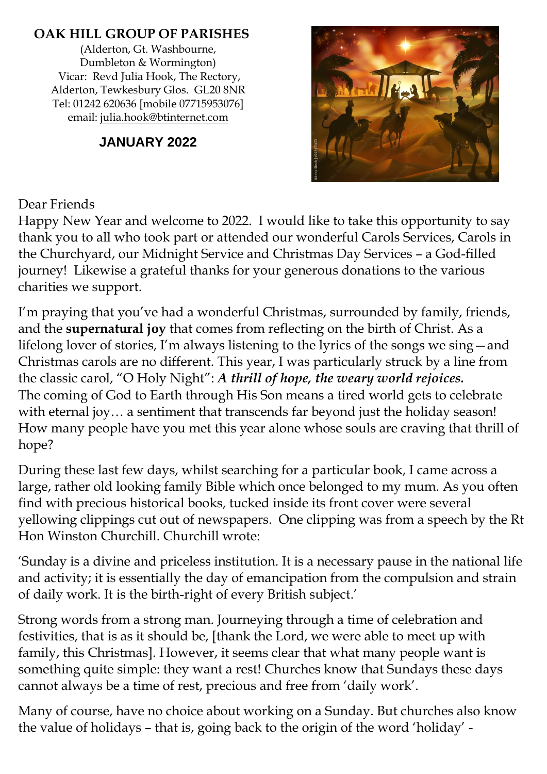### **OAK HILL GROUP OF PARISHES**

(Alderton, Gt. Washbourne, Dumbleton & Wormington) Vicar: Revd Julia Hook, The Rectory, Alderton, Tewkesbury Glos. GL20 8NR Tel: 01242 620636 [mobile 07715953076] email: [julia.hook@btinternet.com](mailto:julia.hook@btinternet.com)

### **JANUARY 2022**



#### Dear Friends

Happy New Year and welcome to 2022. I would like to take this opportunity to say thank you to all who took part or attended our wonderful Carols Services, Carols in the Churchyard, our Midnight Service and Christmas Day Services – a God-filled journey! Likewise a grateful thanks for your generous donations to the various charities we support.

I'm praying that you've had a wonderful Christmas, surrounded by family, friends, and the **supernatural joy** that comes from reflecting on the birth of Christ. As a lifelong lover of stories, I'm always listening to the lyrics of the songs we sing—and Christmas carols are no different. This year, I was particularly struck by a line from the classic carol, "O Holy Night": *A thrill of hope, the weary world rejoices.* The coming of God to Earth through His Son means a tired world gets to celebrate with eternal joy… a sentiment that transcends far beyond just the holiday season! How many people have you met this year alone whose souls are craving that thrill of hope?

During these last few days, whilst searching for a particular book, I came across a large, rather old looking family Bible which once belonged to my mum. As you often find with precious historical books, tucked inside its front cover were several yellowing clippings cut out of newspapers. One clipping was from a speech by the Rt Hon Winston Churchill. Churchill wrote:

'Sunday is a divine and priceless institution. It is a necessary pause in the national life and activity; it is essentially the day of emancipation from the compulsion and strain of daily work. It is the birth-right of every British subject.'

Strong words from a strong man. Journeying through a time of celebration and festivities, that is as it should be, [thank the Lord, we were able to meet up with family, this Christmas]. However, it seems clear that what many people want is something quite simple: they want a rest! Churches know that Sundays these days cannot always be a time of rest, precious and free from 'daily work'.

Many of course, have no choice about working on a Sunday. But churches also know the value of holidays – that is, going back to the origin of the word 'holiday' -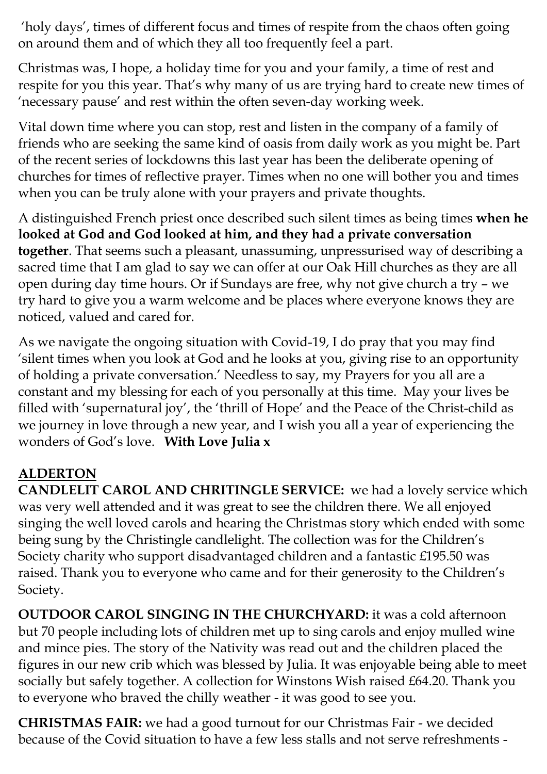'holy days', times of different focus and times of respite from the chaos often going on around them and of which they all too frequently feel a part.

Christmas was, I hope, a holiday time for you and your family, a time of rest and respite for you this year. That's why many of us are trying hard to create new times of 'necessary pause' and rest within the often seven-day working week.

Vital down time where you can stop, rest and listen in the company of a family of friends who are seeking the same kind of oasis from daily work as you might be. Part of the recent series of lockdowns this last year has been the deliberate opening of churches for times of reflective prayer. Times when no one will bother you and times when you can be truly alone with your prayers and private thoughts.

A distinguished French priest once described such silent times as being times **when he looked at God and God looked at him, and they had a private conversation together**. That seems such a pleasant, unassuming, unpressurised way of describing a sacred time that I am glad to say we can offer at our Oak Hill churches as they are all open during day time hours. Or if Sundays are free, why not give church a try – we try hard to give you a warm welcome and be places where everyone knows they are noticed, valued and cared for.

As we navigate the ongoing situation with Covid-19, I do pray that you may find 'silent times when you look at God and he looks at you, giving rise to an opportunity of holding a private conversation.' Needless to say, my Prayers for you all are a constant and my blessing for each of you personally at this time. May your lives be filled with 'supernatural joy', the 'thrill of Hope' and the Peace of the Christ-child as we journey in love through a new year, and I wish you all a year of experiencing the wonders of God's love. **With Love Julia x**

### **ALDERTON**

**CANDLELIT CAROL AND CHRITINGLE SERVICE:** we had a lovely service which was very well attended and it was great to see the children there. We all enjoyed singing the well loved carols and hearing the Christmas story which ended with some being sung by the Christingle candlelight. The collection was for the Children's Society charity who support disadvantaged children and a fantastic £195.50 was raised. Thank you to everyone who came and for their generosity to the Children's Society.

**OUTDOOR CAROL SINGING IN THE CHURCHYARD:** it was a cold afternoon but 70 people including lots of children met up to sing carols and enjoy mulled wine and mince pies. The story of the Nativity was read out and the children placed the figures in our new crib which was blessed by Julia. It was enjoyable being able to meet socially but safely together. A collection for Winstons Wish raised £64.20. Thank you to everyone who braved the chilly weather - it was good to see you.

**CHRISTMAS FAIR:** we had a good turnout for our Christmas Fair - we decided because of the Covid situation to have a few less stalls and not serve refreshments -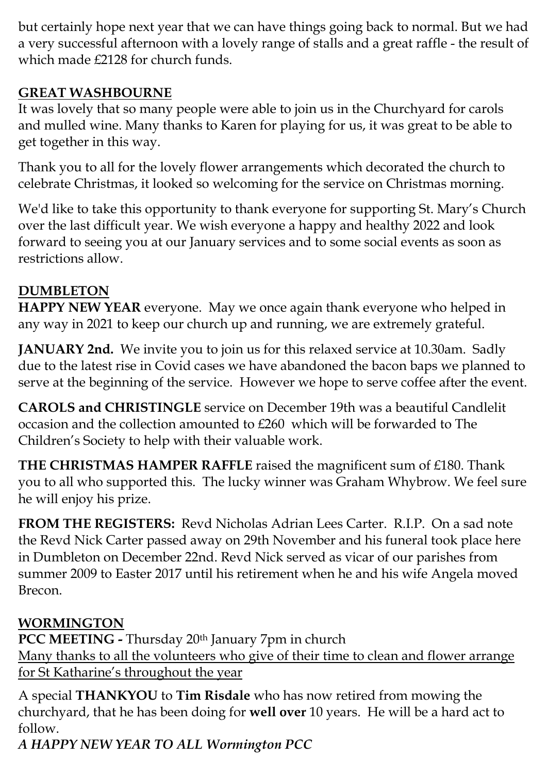but certainly hope next year that we can have things going back to normal. But we had a very successful afternoon with a lovely range of stalls and a great raffle - the result of which made £2128 for church funds.

## **GREAT WASHBOURNE**

It was lovely that so many people were able to join us in the Churchyard for carols and mulled wine. Many thanks to Karen for playing for us, it was great to be able to get together in this way.

Thank you to all for the lovely flower arrangements which decorated the church to celebrate Christmas, it looked so welcoming for the service on Christmas morning.

We'd like to take this opportunity to thank everyone for supporting St. Mary's Church over the last difficult year. We wish everyone a happy and healthy 2022 and look forward to seeing you at our January services and to some social events as soon as restrictions allow.

## **DUMBLETON**

**HAPPY NEW YEAR** everyone. May we once again thank everyone who helped in any way in 2021 to keep our church up and running, we are extremely grateful.

**JANUARY 2nd.** We invite you to join us for this relaxed service at 10.30am. Sadly due to the latest rise in Covid cases we have abandoned the bacon baps we planned to serve at the beginning of the service. However we hope to serve coffee after the event.

**CAROLS and CHRISTINGLE** service on December 19th was a beautiful Candlelit occasion and the collection amounted to £260 which will be forwarded to The Children's Society to help with their valuable work.

**THE CHRISTMAS HAMPER RAFFLE** raised the magnificent sum of £180. Thank you to all who supported this. The lucky winner was Graham Whybrow. We feel sure he will enjoy his prize.

**FROM THE REGISTERS:** Revd Nicholas Adrian Lees Carter. R.I.P. On a sad note the Revd Nick Carter passed away on 29th November and his funeral took place here in Dumbleton on December 22nd. Revd Nick served as vicar of our parishes from summer 2009 to Easter 2017 until his retirement when he and his wife Angela moved Brecon.

## **WORMINGTON**

**PCC MEETING -** Thursday 20th January 7pm in church Many thanks to all the volunteers who give of their time to clean and flower arrange for St Katharine's throughout the year

A special **THANKYOU** to **Tim Risdale** who has now retired from mowing the churchyard, that he has been doing for **well over** 10 years. He will be a hard act to follow.

*A HAPPY NEW YEAR TO ALL Wormington PCC*